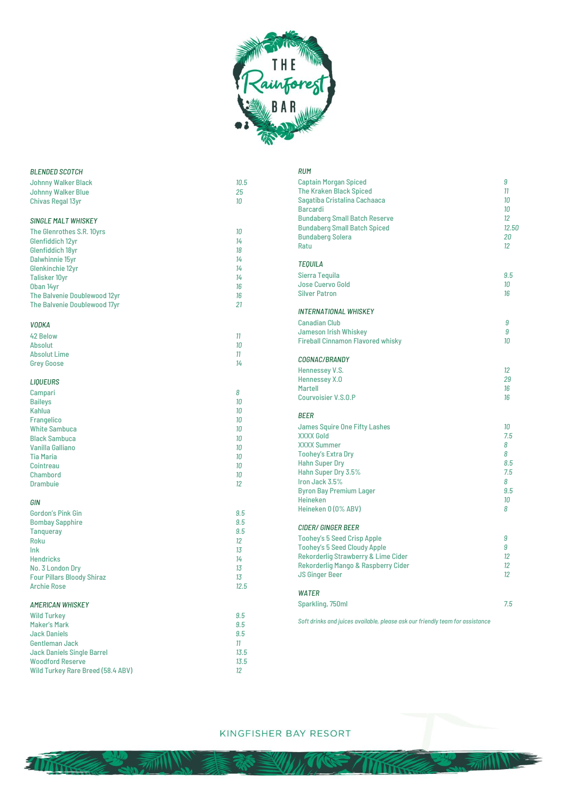

| <b>BLENDED SCOTCH</b>             |      | <b>RUM</b>                                                                    |       |
|-----------------------------------|------|-------------------------------------------------------------------------------|-------|
| <b>Johnny Walker Black</b>        | 10.5 | <b>Captain Morgan Spiced</b>                                                  | 9     |
| Johnny Walker Blue                | 25   | <b>The Kraken Black Spiced</b>                                                | 11    |
| <b>Chivas Regal 13yr</b>          | 10   | Sagatiba Cristalina Cachaaca                                                  | 10    |
|                                   |      | <b>Barcardi</b>                                                               | 10    |
| <b>SINGLE MALT WHISKEY</b>        |      | <b>Bundaberg Small Batch Reserve</b>                                          | 12    |
| The Glenrothes S.R. 10yrs         | 10   | <b>Bundaberg Small Batch Spiced</b>                                           | 12.50 |
| Glenfiddich 12yr                  | 14   | <b>Bundaberg Solera</b>                                                       | 20    |
| Glenfiddich 18yr                  | 18   | Ratu                                                                          | 12    |
| Dalwhinnie 15yr                   | 14   |                                                                               |       |
| Glenkinchie 12yr                  | 14   | <b>TEQUILA</b>                                                                |       |
| <b>Talisker 10yr</b>              | 14   | Sierra Tequila                                                                | 9.5   |
| Oban 14yr                         | 16   | <b>Jose Cuervo Gold</b>                                                       | 10    |
| The Balvenie Doublewood 12yr      | 16   | <b>Silver Patron</b>                                                          | 16    |
| The Balvenie Doublewood 17yr      | 21   |                                                                               |       |
|                                   |      | <b>INTERNATIONAL WHISKEY</b>                                                  |       |
|                                   |      | <b>Canadian Club</b>                                                          | 9     |
| <b>VODKA</b>                      |      | Jameson Irish Whiskey                                                         | 9     |
| <b>42 Below</b>                   | 11   | <b>Fireball Cinnamon Flavored whisky</b>                                      | 10    |
| <b>Absolut</b>                    | 10   |                                                                               |       |
| <b>Absolut Lime</b>               | 11   | COGNAC/BRANDY                                                                 |       |
| <b>Grey Goose</b>                 | 14   |                                                                               |       |
|                                   |      | Hennessey V.S.                                                                | 12    |
| <b>LIQUEURS</b>                   |      | Hennessey X.O                                                                 | 29    |
| Campari                           | 8    | <b>Martell</b>                                                                | 16    |
| <b>Baileys</b>                    | 10   | <b>Courvoisier V.S.O.P</b>                                                    | 16    |
| Kahlua                            | 10   |                                                                               |       |
| Frangelico                        | 10   | <b>BEER</b>                                                                   |       |
| <b>White Sambuca</b>              | 10   | James Squire One Fifty Lashes                                                 | 10    |
| <b>Black Sambuca</b>              | 10   | <b>XXXX Gold</b>                                                              | 7.5   |
| Vanilla Galliano                  | 10   | <b>XXXX Summer</b>                                                            | 8     |
| <b>Tia Maria</b>                  | 10   | <b>Toohey's Extra Dry</b>                                                     | 8     |
| Cointreau                         | 10   | <b>Hahn Super Dry</b>                                                         | 8.5   |
| Chambord                          | 10   | Hahn Super Dry 3.5%                                                           | 7.5   |
| <b>Drambuie</b>                   | 12   | Iron Jack 3.5%                                                                | 8     |
|                                   |      | <b>Byron Bay Premium Lager</b>                                                | 9.5   |
| GIN                               |      | Heineken                                                                      | 10    |
| <b>Gordon's Pink Gin</b>          | 9.5  | Heineken 0 (0% ABV)                                                           | 8     |
| <b>Bombay Sapphire</b>            | 9.5  |                                                                               |       |
| <b>Tanqueray</b>                  | 9.5  | <b>CIDER/ GINGER BEER</b>                                                     |       |
| Roku                              | 12   | <b>Toohey's 5 Seed Crisp Apple</b>                                            | 9     |
| Ink                               | 13   | <b>Toohey's 5 Seed Cloudy Apple</b>                                           | 9     |
| <b>Hendricks</b>                  | 14   | Rekorderlig Strawberry & Lime Cider                                           | 12    |
| No. 3 London Dry                  | 13   | Rekorderlig Mango & Raspberry Cider                                           | 12    |
| <b>Four Pillars Bloody Shiraz</b> | 13   | <b>JS Ginger Beer</b>                                                         | 12    |
| <b>Archie Rose</b>                | 12.5 |                                                                               |       |
|                                   |      | <b>WATER</b>                                                                  |       |
| <b>AMERICAN WHISKEY</b>           |      | Sparkling, 750ml                                                              | 7.5   |
| <b>Wild Turkey</b>                | 9.5  |                                                                               |       |
| <b>Maker's Mark</b>               | 9.5  | Soft drinks and juices available, please ask our friendly team for assistance |       |
| <b>Jack Daniels</b>               | 9.5  |                                                                               |       |
| Gentleman Jack                    | 11   |                                                                               |       |
| <b>Jack Daniels Single Barrel</b> | 13.5 |                                                                               |       |
| <b>Woodford Reserve</b>           | 13.5 |                                                                               |       |
|                                   |      |                                                                               |       |
| Wild Turkey Rare Breed (58.4 ABV) | 12   |                                                                               |       |

## KINGFISHER BAY RESORT

**millin** 

₩